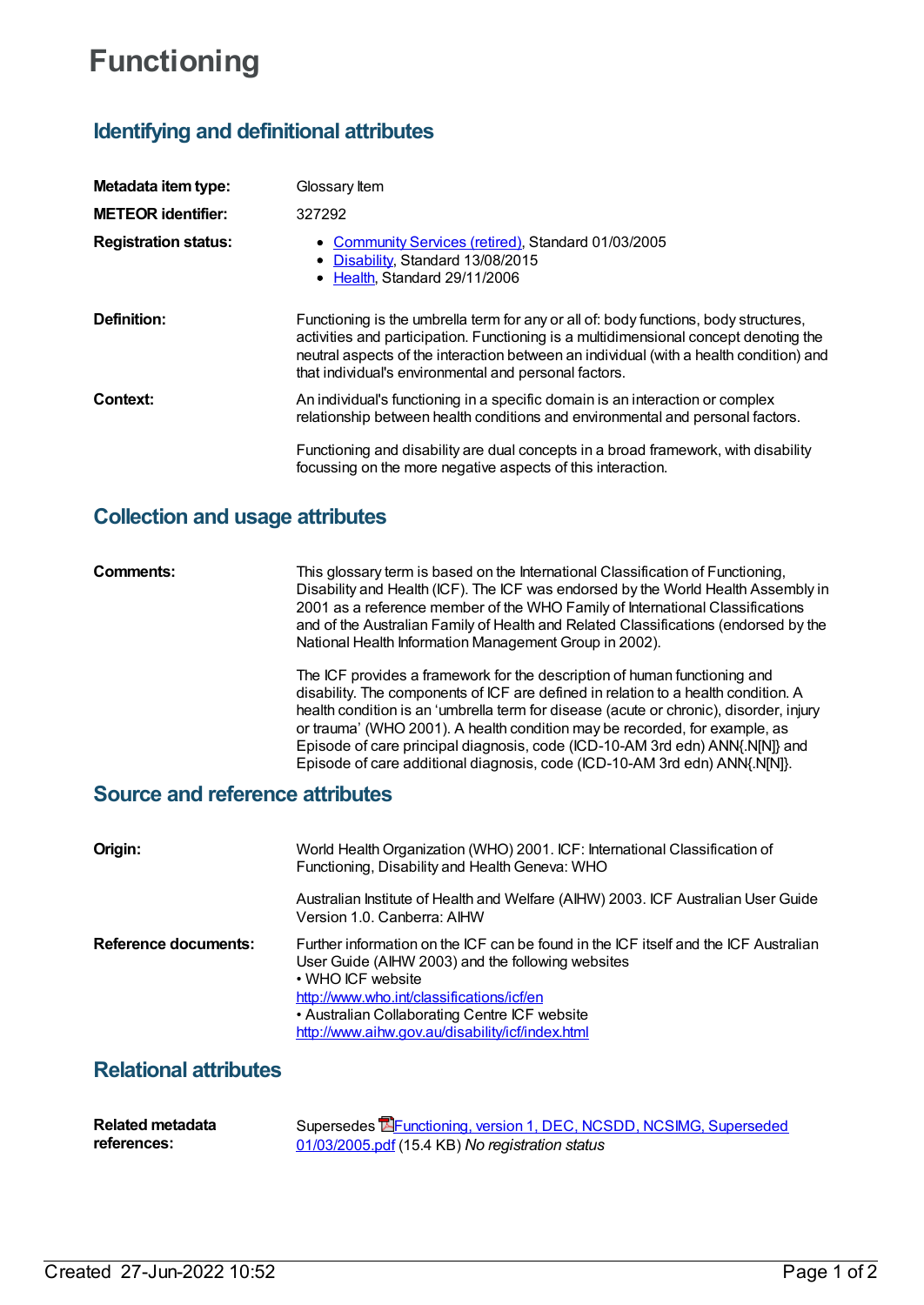# **Functioning**

## **Identifying and definitional attributes**

| Metadata item type:         | Glossary Item                                                                                                                                                                                                                                                                                                                   |
|-----------------------------|---------------------------------------------------------------------------------------------------------------------------------------------------------------------------------------------------------------------------------------------------------------------------------------------------------------------------------|
| <b>METEOR identifier:</b>   | 327292                                                                                                                                                                                                                                                                                                                          |
| <b>Registration status:</b> | • Community Services (retired), Standard 01/03/2005<br>• Disability, Standard 13/08/2015<br>• Health Standard 29/11/2006                                                                                                                                                                                                        |
| Definition:                 | Functioning is the umbrella term for any or all of: body functions, body structures,<br>activities and participation. Functioning is a multidimensional concept denoting the<br>neutral aspects of the interaction between an individual (with a health condition) and<br>that individual's environmental and personal factors. |
| Context:                    | An individual's functioning in a specific domain is an interaction or complex<br>relationship between health conditions and environmental and personal factors.                                                                                                                                                                 |
|                             | Functioning and disability are dual concepts in a broad framework, with disability<br>focussing on the more negative aspects of this interaction.                                                                                                                                                                               |

## **Collection and usage attributes**

**Comments:** This glossary term is based on the International Classification of Functioning, Disability and Health (ICF). The ICF was endorsed by the World Health Assembly in 2001 as a reference member of the WHO Family of International Classifications and of the Australian Family of Health and Related Classifications (endorsed by the National Health Information Management Group in 2002).

> The ICF provides a framework for the description of human functioning and disability. The components of ICF are defined in relation to a health condition. A health condition is an 'umbrella term for disease (acute or chronic), disorder, injury or trauma' (WHO 2001). A health condition may be recorded, for example, as Episode of care principal diagnosis, code (ICD-10-AM 3rd edn) ANN{.N[N]} and Episode of care additional diagnosis, code (ICD-10-AM 3rd edn) ANN{.N[N]}.

### **Source and reference attributes**

| Origin:              | World Health Organization (WHO) 2001. ICF: International Classification of<br>Functioning, Disability and Health Geneva: WHO                                                                                                                                                                                     |
|----------------------|------------------------------------------------------------------------------------------------------------------------------------------------------------------------------------------------------------------------------------------------------------------------------------------------------------------|
|                      | Australian Institute of Health and Welfare (AIHW) 2003. ICF Australian User Guide<br>Version 1.0. Canberra: AIHW                                                                                                                                                                                                 |
| Reference documents: | Further information on the ICF can be found in the ICF itself and the ICF Australian<br>User Guide (AIHW 2003) and the following websites<br>• WHO ICF website<br>http://www.who.int/classifications/icf/en<br>• Australian Collaborating Centre ICF website<br>http://www.aihw.gov.au/disability/icf/index.html |

## **Relational attributes**

| <b>Related metadata</b> | Supersedes <b>EF</b> unctioning, version 1, DEC, NCSDD, NCSIMG, Superseded |
|-------------------------|----------------------------------------------------------------------------|
| references:             | 01/03/2005.pdf (15.4 KB) No registration status                            |